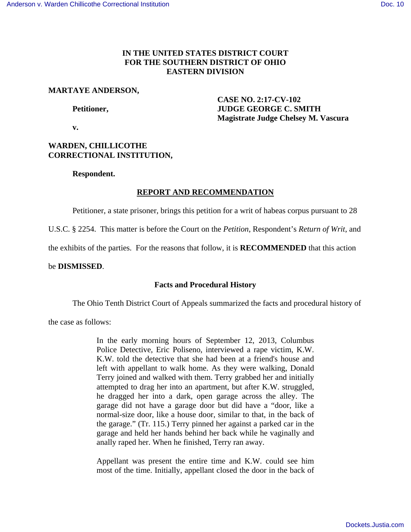## **IN THE UNITED STATES DISTRICT COURT FOR THE SOUTHERN DISTRICT OF OHIO EASTERN DIVISION**

## **MARTAYE ANDERSON,**

 **CASE NO. 2:17-CV-102 Petitioner, JUDGE GEORGE C. SMITH Magistrate Judge Chelsey M. Vascura** 

 **v.** 

# **WARDEN, CHILLICOTHE CORRECTIONAL INSTITUTION,**

# **Respondent.**

# **REPORT AND RECOMMENDATION**

Petitioner, a state prisoner, brings this petition for a writ of habeas corpus pursuant to 28

U.S.C. § 2254. This matter is before the Court on the *Petition*, Respondent's *Return of Writ*, and

the exhibits of the parties. For the reasons that follow, it is **RECOMMENDED** that this action

# be **DISMISSED**.

# **Facts and Procedural History**

The Ohio Tenth District Court of Appeals summarized the facts and procedural history of

the case as follows:

In the early morning hours of September 12, 2013, Columbus Police Detective, Eric Poliseno, interviewed a rape victim, K.W. K.W. told the detective that she had been at a friend's house and left with appellant to walk home. As they were walking, Donald Terry joined and walked with them. Terry grabbed her and initially attempted to drag her into an apartment, but after K.W. struggled, he dragged her into a dark, open garage across the alley. The garage did not have a garage door but did have a "door, like a normal-size door, like a house door, similar to that, in the back of the garage." (Tr. 115.) Terry pinned her against a parked car in the garage and held her hands behind her back while he vaginally and anally raped her. When he finished, Terry ran away.

Appellant was present the entire time and K.W. could see him most of the time. Initially, appellant closed the door in the back of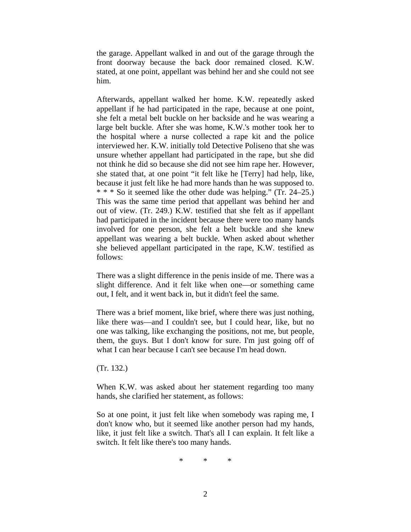the garage. Appellant walked in and out of the garage through the front doorway because the back door remained closed. K.W. stated, at one point, appellant was behind her and she could not see him.

Afterwards, appellant walked her home. K.W. repeatedly asked appellant if he had participated in the rape, because at one point, she felt a metal belt buckle on her backside and he was wearing a large belt buckle. After she was home, K.W.'s mother took her to the hospital where a nurse collected a rape kit and the police interviewed her. K.W. initially told Detective Poliseno that she was unsure whether appellant had participated in the rape, but she did not think he did so because she did not see him rape her. However, she stated that, at one point "it felt like he [Terry] had help, like, because it just felt like he had more hands than he was supposed to. \* \* \* So it seemed like the other dude was helping." (Tr. 24–25.) This was the same time period that appellant was behind her and out of view. (Tr. 249.) K.W. testified that she felt as if appellant had participated in the incident because there were too many hands involved for one person, she felt a belt buckle and she knew appellant was wearing a belt buckle. When asked about whether she believed appellant participated in the rape, K.W. testified as follows:

There was a slight difference in the penis inside of me. There was a slight difference. And it felt like when one—or something came out, I felt, and it went back in, but it didn't feel the same.

There was a brief moment, like brief, where there was just nothing, like there was—and I couldn't see, but I could hear, like, but no one was talking, like exchanging the positions, not me, but people, them, the guys. But I don't know for sure. I'm just going off of what I can hear because I can't see because I'm head down.

(Tr. 132.)

When K.W. was asked about her statement regarding too many hands, she clarified her statement, as follows:

So at one point, it just felt like when somebody was raping me, I don't know who, but it seemed like another person had my hands, like, it just felt like a switch. That's all I can explain. It felt like a switch. It felt like there's too many hands.

\* \* \*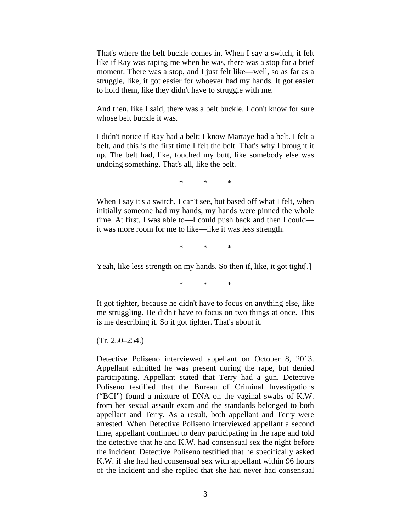That's where the belt buckle comes in. When I say a switch, it felt like if Ray was raping me when he was, there was a stop for a brief moment. There was a stop, and I just felt like—well, so as far as a struggle, like, it got easier for whoever had my hands. It got easier to hold them, like they didn't have to struggle with me.

And then, like I said, there was a belt buckle. I don't know for sure whose belt buckle it was.

I didn't notice if Ray had a belt; I know Martaye had a belt. I felt a belt, and this is the first time I felt the belt. That's why I brought it up. The belt had, like, touched my butt, like somebody else was undoing something. That's all, like the belt.

\* \* \*

When I say it's a switch, I can't see, but based off what I felt, when initially someone had my hands, my hands were pinned the whole time. At first, I was able to—I could push back and then I could it was more room for me to like—like it was less strength.

\* \* \*

Yeah, like less strength on my hands. So then if, like, it got tight[.]

\* \* \*

It got tighter, because he didn't have to focus on anything else, like me struggling. He didn't have to focus on two things at once. This is me describing it. So it got tighter. That's about it.

 $(Tr. 250 - 254.)$ 

Detective Poliseno interviewed appellant on October 8, 2013. Appellant admitted he was present during the rape, but denied participating. Appellant stated that Terry had a gun. Detective Poliseno testified that the Bureau of Criminal Investigations ("BCI") found a mixture of DNA on the vaginal swabs of K.W. from her sexual assault exam and the standards belonged to both appellant and Terry. As a result, both appellant and Terry were arrested. When Detective Poliseno interviewed appellant a second time, appellant continued to deny participating in the rape and told the detective that he and K.W. had consensual sex the night before the incident. Detective Poliseno testified that he specifically asked K.W. if she had had consensual sex with appellant within 96 hours of the incident and she replied that she had never had consensual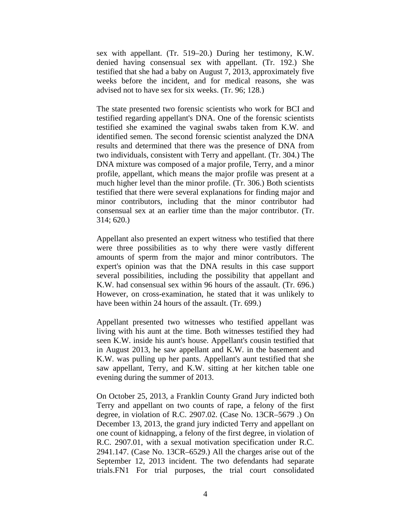sex with appellant. (Tr. 519–20.) During her testimony, K.W. denied having consensual sex with appellant. (Tr. 192.) She testified that she had a baby on August 7, 2013, approximately five weeks before the incident, and for medical reasons, she was advised not to have sex for six weeks. (Tr. 96; 128.)

The state presented two forensic scientists who work for BCI and testified regarding appellant's DNA. One of the forensic scientists testified she examined the vaginal swabs taken from K.W. and identified semen. The second forensic scientist analyzed the DNA results and determined that there was the presence of DNA from two individuals, consistent with Terry and appellant. (Tr. 304.) The DNA mixture was composed of a major profile, Terry, and a minor profile, appellant, which means the major profile was present at a much higher level than the minor profile. (Tr. 306.) Both scientists testified that there were several explanations for finding major and minor contributors, including that the minor contributor had consensual sex at an earlier time than the major contributor. (Tr. 314; 620.)

Appellant also presented an expert witness who testified that there were three possibilities as to why there were vastly different amounts of sperm from the major and minor contributors. The expert's opinion was that the DNA results in this case support several possibilities, including the possibility that appellant and K.W. had consensual sex within 96 hours of the assault. (Tr. 696.) However, on cross-examination, he stated that it was unlikely to have been within 24 hours of the assault. (Tr. 699.)

Appellant presented two witnesses who testified appellant was living with his aunt at the time. Both witnesses testified they had seen K.W. inside his aunt's house. Appellant's cousin testified that in August 2013, he saw appellant and K.W. in the basement and K.W. was pulling up her pants. Appellant's aunt testified that she saw appellant, Terry, and K.W. sitting at her kitchen table one evening during the summer of 2013.

On October 25, 2013, a Franklin County Grand Jury indicted both Terry and appellant on two counts of rape, a felony of the first degree, in violation of R.C. 2907.02. (Case No. 13CR–5679 .) On December 13, 2013, the grand jury indicted Terry and appellant on one count of kidnapping, a felony of the first degree, in violation of R.C. 2907.01, with a sexual motivation specification under R.C. 2941.147. (Case No. 13CR–6529.) All the charges arise out of the September 12, 2013 incident. The two defendants had separate trials.FN1 For trial purposes, the trial court consolidated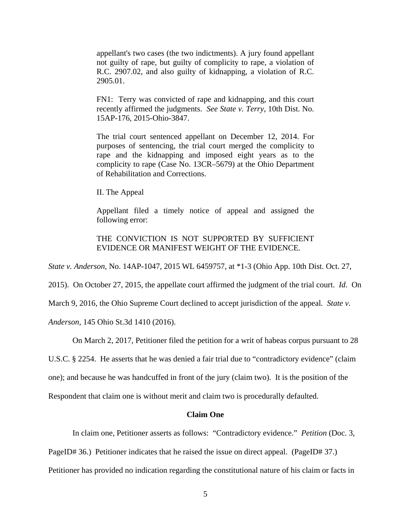appellant's two cases (the two indictments). A jury found appellant not guilty of rape, but guilty of complicity to rape, a violation of R.C. 2907.02, and also guilty of kidnapping, a violation of R.C. 2905.01.

FN1: Terry was convicted of rape and kidnapping, and this court recently affirmed the judgments. *See State v. Terry*, 10th Dist. No. 15AP-176, 2015-Ohio-3847.

The trial court sentenced appellant on December 12, 2014. For purposes of sentencing, the trial court merged the complicity to rape and the kidnapping and imposed eight years as to the complicity to rape (Case No. 13CR–5679) at the Ohio Department of Rehabilitation and Corrections.

II. The Appeal

Appellant filed a timely notice of appeal and assigned the following error:

THE CONVICTION IS NOT SUPPORTED BY SUFFICIENT EVIDENCE OR MANIFEST WEIGHT OF THE EVIDENCE.

*State v. Anderson,* No. 14AP-1047, 2015 WL 6459757, at \*1-3 (Ohio App. 10th Dist. Oct. 27,

2015). On October 27, 2015, the appellate court affirmed the judgment of the trial court. *Id*. On

March 9, 2016, the Ohio Supreme Court declined to accept jurisdiction of the appeal*. State v.*

*Anderson*, 145 Ohio St.3d 1410 (2016).

On March 2, 2017, Petitioner filed the petition for a writ of habeas corpus pursuant to 28

U.S.C. § 2254. He asserts that he was denied a fair trial due to "contradictory evidence" (claim

one); and because he was handcuffed in front of the jury (claim two). It is the position of the

Respondent that claim one is without merit and claim two is procedurally defaulted.

## **Claim One**

In claim one, Petitioner asserts as follows: "Contradictory evidence." *Petition* (Doc. 3,

PageID# 36.) Petitioner indicates that he raised the issue on direct appeal. (PageID# 37.)

Petitioner has provided no indication regarding the constitutional nature of his claim or facts in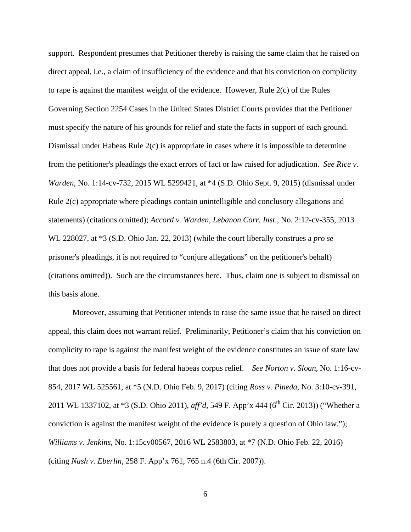support. Respondent presumes that Petitioner thereby is raising the same claim that he raised on direct appeal, i.e., a claim of insufficiency of the evidence and that his conviction on complicity to rape is against the manifest weight of the evidence. However, Rule 2(c) of the Rules Governing Section 2254 Cases in the United States District Courts provides that the Petitioner must specify the nature of his grounds for relief and state the facts in support of each ground. Dismissal under Habeas Rule 2(c) is appropriate in cases where it is impossible to determine from the petitioner's pleadings the exact errors of fact or law raised for adjudication. *See Rice v. Warden*, No. 1:14-cv-732, 2015 WL 5299421, at \*4 (S.D. Ohio Sept. 9, 2015) (dismissal under Rule 2(c) appropriate where pleadings contain unintelligible and conclusory allegations and statements) (citations omitted); *Accord v. Warden, Lebanon Corr. Inst*., No. 2:12-cv-355, 2013 WL 228027, at \*3 (S.D. Ohio Jan. 22, 2013) (while the court liberally construes a *pro se* prisoner's pleadings, it is not required to "conjure allegations" on the petitioner's behalf) (citations omitted)). Such are the circumstances here. Thus, claim one is subject to dismissal on this basis alone.

 Moreover, assuming that Petitioner intends to raise the same issue that he raised on direct appeal, this claim does not warrant relief. Preliminarily, Petitioner's claim that his conviction on complicity to rape is against the manifest weight of the evidence constitutes an issue of state law that does not provide a basis for federal habeas corpus relief. *See Norton v. Sloan*, No. 1:16-cv-854, 2017 WL 525561, at \*5 (N.D. Ohio Feb. 9, 2017) (citing *Ross v. Pineda*, No. 3:10-cv-391, 2011 WL 1337102, at \*3 (S.D. Ohio 2011), *aff'd*, 549 F. App'x 444 (6<sup>th</sup> Cir. 2013)) ("Whether a conviction is against the manifest weight of the evidence is purely a question of Ohio law."); *Williams v. Jenkins,* No. 1:15cv00567, 2016 WL 2583803, at \*7 (N.D. Ohio Feb. 22, 2016) (citing *Nash v. Eberlin*, 258 F. App'x 761, 765 n.4 (6th Cir. 2007)).

6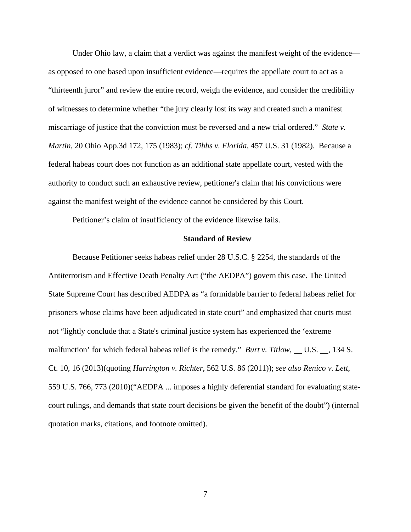Under Ohio law, a claim that a verdict was against the manifest weight of the evidence as opposed to one based upon insufficient evidence—requires the appellate court to act as a "thirteenth juror" and review the entire record, weigh the evidence, and consider the credibility of witnesses to determine whether "the jury clearly lost its way and created such a manifest miscarriage of justice that the conviction must be reversed and a new trial ordered." *State v. Martin*, 20 Ohio App.3d 172, 175 (1983); *cf. Tibbs v. Florida*, 457 U.S. 31 (1982). Because a federal habeas court does not function as an additional state appellate court, vested with the authority to conduct such an exhaustive review, petitioner's claim that his convictions were against the manifest weight of the evidence cannot be considered by this Court.

Petitioner's claim of insufficiency of the evidence likewise fails.

#### **Standard of Review**

Because Petitioner seeks habeas relief under 28 U.S.C. § 2254, the standards of the Antiterrorism and Effective Death Penalty Act ("the AEDPA") govern this case. The United State Supreme Court has described AEDPA as "a formidable barrier to federal habeas relief for prisoners whose claims have been adjudicated in state court" and emphasized that courts must not "lightly conclude that a State's criminal justice system has experienced the 'extreme malfunction' for which federal habeas relief is the remedy." *Burt v. Titlow*, \_\_ U.S. \_\_, 134 S. Ct. 10, 16 (2013)(quoting *Harrington v. Richter*, 562 U.S. 86 (2011)); *see also Renico v. Lett*, 559 U.S. 766, 773 (2010)("AEDPA ... imposes a highly deferential standard for evaluating statecourt rulings, and demands that state court decisions be given the benefit of the doubt") (internal quotation marks, citations, and footnote omitted).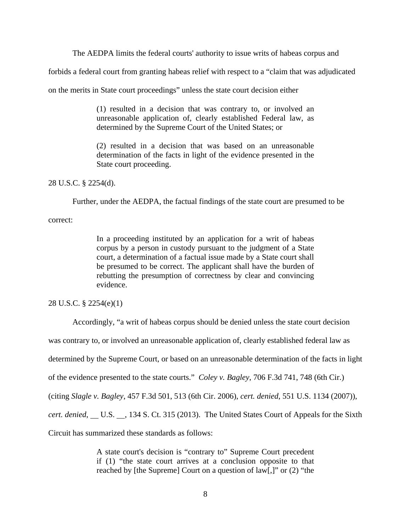The AEDPA limits the federal courts' authority to issue writs of habeas corpus and

forbids a federal court from granting habeas relief with respect to a "claim that was adjudicated

on the merits in State court proceedings" unless the state court decision either

(1) resulted in a decision that was contrary to, or involved an unreasonable application of, clearly established Federal law, as determined by the Supreme Court of the United States; or

(2) resulted in a decision that was based on an unreasonable determination of the facts in light of the evidence presented in the State court proceeding.

28 U.S.C. § 2254(d).

Further, under the AEDPA, the factual findings of the state court are presumed to be

correct:

In a proceeding instituted by an application for a writ of habeas corpus by a person in custody pursuant to the judgment of a State court, a determination of a factual issue made by a State court shall be presumed to be correct. The applicant shall have the burden of rebutting the presumption of correctness by clear and convincing evidence.

## 28 U.S.C. § 2254(e)(1)

Accordingly, "a writ of habeas corpus should be denied unless the state court decision

was contrary to, or involved an unreasonable application of, clearly established federal law as

determined by the Supreme Court, or based on an unreasonable determination of the facts in light

of the evidence presented to the state courts." *Coley v. Bagley*, 706 F.3d 741, 748 (6th Cir.)

(citing *Slagle v. Bagley*, 457 F.3d 501, 513 (6th Cir. 2006), *cert. denied*, 551 U.S. 1134 (2007)),

*cert. denied*, U.S. , 134 S. Ct. 315 (2013). The United States Court of Appeals for the Sixth

Circuit has summarized these standards as follows:

A state court's decision is "contrary to" Supreme Court precedent if (1) "the state court arrives at a conclusion opposite to that reached by [the Supreme] Court on a question of law[,]" or (2) "the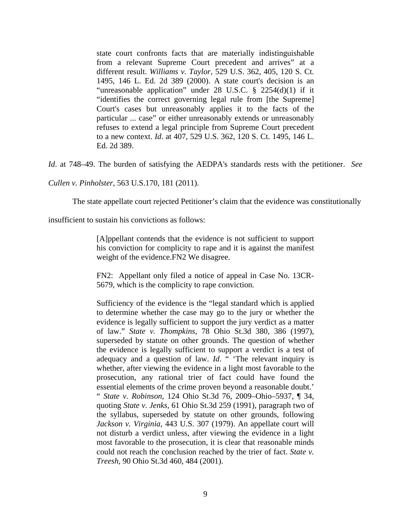state court confronts facts that are materially indistinguishable from a relevant Supreme Court precedent and arrives" at a different result. *Williams v. Taylor*, 529 U.S. 362, 405, 120 S. Ct. 1495, 146 L. Ed. 2d 389 (2000). A state court's decision is an "unreasonable application" under 28 U.S.C. § 2254(d)(1) if it "identifies the correct governing legal rule from [the Supreme] Court's cases but unreasonably applies it to the facts of the particular ... case" or either unreasonably extends or unreasonably refuses to extend a legal principle from Supreme Court precedent to a new context. *Id*. at 407, 529 U.S. 362, 120 S. Ct. 1495, 146 L. Ed. 2d 389.

*Id*. at 748–49. The burden of satisfying the AEDPA's standards rests with the petitioner. *See* 

*Cullen v. Pinholster*, 563 U.S.170, 181 (2011).

The state appellate court rejected Petitioner's claim that the evidence was constitutionally

insufficient to sustain his convictions as follows:

[A]ppellant contends that the evidence is not sufficient to support his conviction for complicity to rape and it is against the manifest weight of the evidence.FN2 We disagree.

FN2: Appellant only filed a notice of appeal in Case No. 13CR-5679, which is the complicity to rape conviction.

Sufficiency of the evidence is the "legal standard which is applied to determine whether the case may go to the jury or whether the evidence is legally sufficient to support the jury verdict as a matter of law." *State v. Thompkins*, 78 Ohio St.3d 380, 386 (1997), superseded by statute on other grounds. The question of whether the evidence is legally sufficient to support a verdict is a test of adequacy and a question of law. *Id.* "The relevant inquiry is whether, after viewing the evidence in a light most favorable to the prosecution, any rational trier of fact could have found the essential elements of the crime proven beyond a reasonable doubt.' " *State v. Robinson*, 124 Ohio St.3d 76, 2009–Ohio–5937, ¶ 34, quoting *State v. Jenks*, 61 Ohio St.3d 259 (1991), paragraph two of the syllabus, superseded by statute on other grounds, following *Jackson v. Virginia*, 443 U.S. 307 (1979). An appellate court will not disturb a verdict unless, after viewing the evidence in a light most favorable to the prosecution, it is clear that reasonable minds could not reach the conclusion reached by the trier of fact. *State v. Treesh*, 90 Ohio St.3d 460, 484 (2001).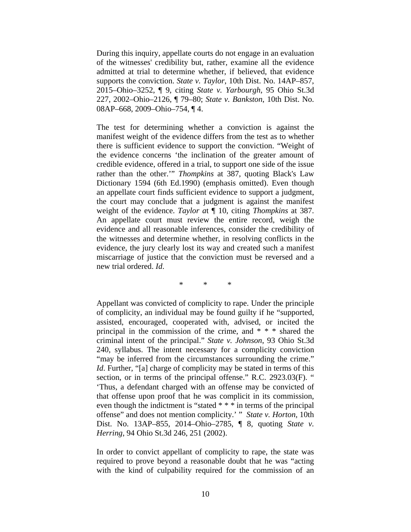During this inquiry, appellate courts do not engage in an evaluation of the witnesses' credibility but, rather, examine all the evidence admitted at trial to determine whether, if believed, that evidence supports the conviction. *State v. Taylor*, 10th Dist. No. 14AP–857, 2015–Ohio–3252, ¶ 9, citing *State v. Yarbourgh*, 95 Ohio St.3d 227, 2002–Ohio–2126, ¶ 79–80; *State v. Bankston*, 10th Dist. No. 08AP–668, 2009–Ohio–754, ¶ 4.

The test for determining whether a conviction is against the manifest weight of the evidence differs from the test as to whether there is sufficient evidence to support the conviction. "Weight of the evidence concerns 'the inclination of the greater amount of credible evidence, offered in a trial, to support one side of the issue rather than the other.'" *Thompkins* at 387, quoting Black's Law Dictionary 1594 (6th Ed.1990) (emphasis omitted). Even though an appellate court finds sufficient evidence to support a judgment, the court may conclude that a judgment is against the manifest weight of the evidence. *Taylor a*t ¶ 10, citing *Thompkins* at 387. An appellate court must review the entire record, weigh the evidence and all reasonable inferences, consider the credibility of the witnesses and determine whether, in resolving conflicts in the evidence, the jury clearly lost its way and created such a manifest miscarriage of justice that the conviction must be reversed and a new trial ordered. *Id*.

\* \* \*

Appellant was convicted of complicity to rape. Under the principle of complicity, an individual may be found guilty if he "supported, assisted, encouraged, cooperated with, advised, or incited the principal in the commission of the crime, and \* \* \* shared the criminal intent of the principal." *State v. Johnson*, 93 Ohio St.3d 240, syllabus. The intent necessary for a complicity conviction "may be inferred from the circumstances surrounding the crime." *Id*. Further, "[a] charge of complicity may be stated in terms of this section, or in terms of the principal offense." R.C. 2923.03(F). " 'Thus, a defendant charged with an offense may be convicted of that offense upon proof that he was complicit in its commission, even though the indictment is "stated \* \* \* in terms of the principal offense" and does not mention complicity.' " *State v. Horton*, 10th Dist. No. 13AP–855, 2014–Ohio–2785, ¶ 8, quoting *State v. Herring*, 94 Ohio St.3d 246, 251 (2002).

In order to convict appellant of complicity to rape, the state was required to prove beyond a reasonable doubt that he was "acting with the kind of culpability required for the commission of an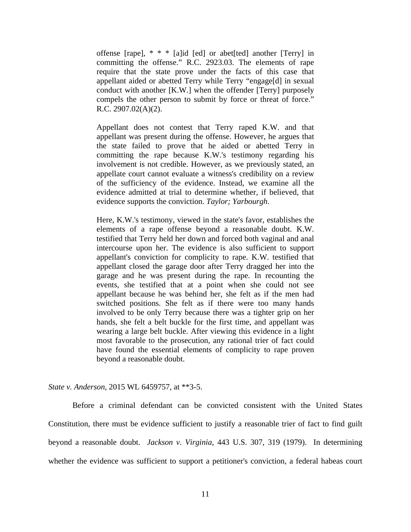offense [rape], \* \* \* [a]id [ed] or abet[ted] another [Terry] in committing the offense." R.C. 2923.03. The elements of rape require that the state prove under the facts of this case that appellant aided or abetted Terry while Terry "engage[d] in sexual conduct with another [K.W.] when the offender [Terry] purposely compels the other person to submit by force or threat of force." R.C. 2907.02(A)(2).

Appellant does not contest that Terry raped K.W. and that appellant was present during the offense. However, he argues that the state failed to prove that he aided or abetted Terry in committing the rape because K.W.'s testimony regarding his involvement is not credible. However, as we previously stated, an appellate court cannot evaluate a witness's credibility on a review of the sufficiency of the evidence. Instead, we examine all the evidence admitted at trial to determine whether, if believed, that evidence supports the conviction. *Taylor; Yarbourgh*.

Here, K.W.'s testimony, viewed in the state's favor, establishes the elements of a rape offense beyond a reasonable doubt. K.W. testified that Terry held her down and forced both vaginal and anal intercourse upon her. The evidence is also sufficient to support appellant's conviction for complicity to rape. K.W. testified that appellant closed the garage door after Terry dragged her into the garage and he was present during the rape. In recounting the events, she testified that at a point when she could not see appellant because he was behind her, she felt as if the men had switched positions. She felt as if there were too many hands involved to be only Terry because there was a tighter grip on her hands, she felt a belt buckle for the first time, and appellant was wearing a large belt buckle. After viewing this evidence in a light most favorable to the prosecution, any rational trier of fact could have found the essential elements of complicity to rape proven beyond a reasonable doubt.

*State v. Anderson*, 2015 WL 6459757, at \*\*3-5.

Before a criminal defendant can be convicted consistent with the United States Constitution, there must be evidence sufficient to justify a reasonable trier of fact to find guilt beyond a reasonable doubt. *Jackson v. Virginia*, 443 U.S. 307, 319 (1979). In determining whether the evidence was sufficient to support a petitioner's conviction, a federal habeas court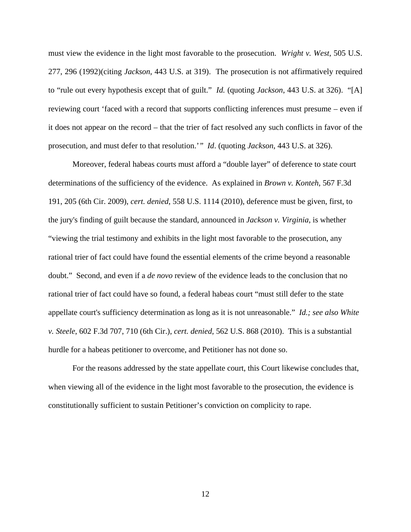must view the evidence in the light most favorable to the prosecution. *Wright v. West*, 505 U.S. 277, 296 (1992)(citing *Jackson*, 443 U.S. at 319). The prosecution is not affirmatively required to "rule out every hypothesis except that of guilt." *Id.* (quoting *Jackson*, 443 U.S. at 326). "[A] reviewing court 'faced with a record that supports conflicting inferences must presume – even if it does not appear on the record – that the trier of fact resolved any such conflicts in favor of the prosecution, and must defer to that resolution.'*" Id*. (quoting *Jackson*, 443 U.S. at 326).

Moreover, federal habeas courts must afford a "double layer" of deference to state court determinations of the sufficiency of the evidence. As explained in *Brown v. Konteh*, 567 F.3d 191, 205 (6th Cir. 2009), *cert. denied*, 558 U.S. 1114 (2010), deference must be given, first, to the jury's finding of guilt because the standard, announced in *Jackson v. Virginia*, is whether "viewing the trial testimony and exhibits in the light most favorable to the prosecution, any rational trier of fact could have found the essential elements of the crime beyond a reasonable doubt." Second, and even if a *de novo* review of the evidence leads to the conclusion that no rational trier of fact could have so found, a federal habeas court "must still defer to the state appellate court's sufficiency determination as long as it is not unreasonable." *Id.; see also White v. Steele*, 602 F.3d 707, 710 (6th Cir.), *cert. denied*, 562 U.S. 868 (2010). This is a substantial hurdle for a habeas petitioner to overcome, and Petitioner has not done so.

For the reasons addressed by the state appellate court, this Court likewise concludes that, when viewing all of the evidence in the light most favorable to the prosecution, the evidence is constitutionally sufficient to sustain Petitioner's conviction on complicity to rape.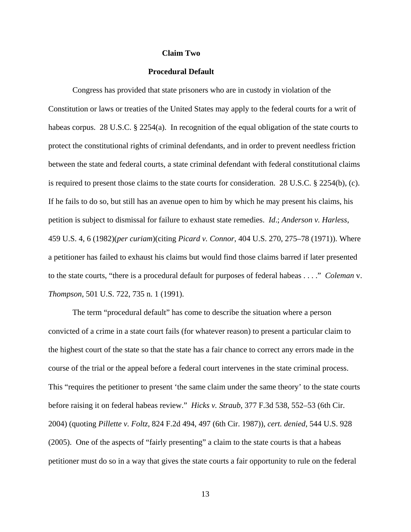#### **Claim Two**

#### **Procedural Default**

Congress has provided that state prisoners who are in custody in violation of the Constitution or laws or treaties of the United States may apply to the federal courts for a writ of habeas corpus. 28 U.S.C. § 2254(a). In recognition of the equal obligation of the state courts to protect the constitutional rights of criminal defendants, and in order to prevent needless friction between the state and federal courts, a state criminal defendant with federal constitutional claims is required to present those claims to the state courts for consideration. 28 U.S.C. § 2254(b), (c). If he fails to do so, but still has an avenue open to him by which he may present his claims, his petition is subject to dismissal for failure to exhaust state remedies. *Id*.; *Anderson v. Harless*, 459 U.S. 4, 6 (1982)(*per curiam*)(citing *Picard v. Connor*, 404 U.S. 270, 275–78 (1971)). Where a petitioner has failed to exhaust his claims but would find those claims barred if later presented to the state courts, "there is a procedural default for purposes of federal habeas . . . ." *Coleman* v. *Thompson*, 501 U.S. 722, 735 n. 1 (1991).

The term "procedural default" has come to describe the situation where a person convicted of a crime in a state court fails (for whatever reason) to present a particular claim to the highest court of the state so that the state has a fair chance to correct any errors made in the course of the trial or the appeal before a federal court intervenes in the state criminal process. This "requires the petitioner to present 'the same claim under the same theory' to the state courts before raising it on federal habeas review." *Hicks v. Straub*, 377 F.3d 538, 552–53 (6th Cir. 2004) (quoting *Pillette v. Foltz*, 824 F.2d 494, 497 (6th Cir. 1987)), *cert. denied*, 544 U.S. 928 (2005). One of the aspects of "fairly presenting" a claim to the state courts is that a habeas petitioner must do so in a way that gives the state courts a fair opportunity to rule on the federal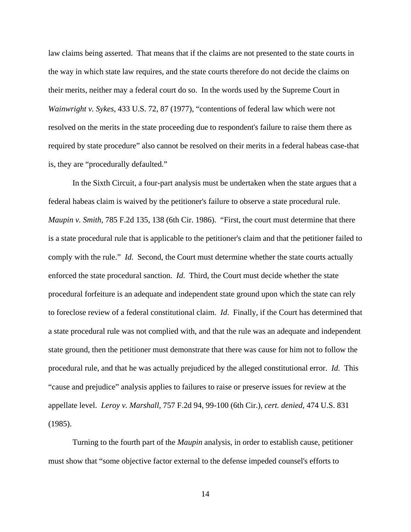law claims being asserted. That means that if the claims are not presented to the state courts in the way in which state law requires, and the state courts therefore do not decide the claims on their merits, neither may a federal court do so. In the words used by the Supreme Court in *Wainwright v. Sykes*, 433 U.S. 72, 87 (1977), "contentions of federal law which were not resolved on the merits in the state proceeding due to respondent's failure to raise them there as required by state procedure" also cannot be resolved on their merits in a federal habeas case-that is, they are "procedurally defaulted."

In the Sixth Circuit, a four-part analysis must be undertaken when the state argues that a federal habeas claim is waived by the petitioner's failure to observe a state procedural rule. *Maupin v. Smith*, 785 F.2d 135, 138 (6th Cir. 1986). "First, the court must determine that there is a state procedural rule that is applicable to the petitioner's claim and that the petitioner failed to comply with the rule." *Id*. Second, the Court must determine whether the state courts actually enforced the state procedural sanction. *Id*. Third, the Court must decide whether the state procedural forfeiture is an adequate and independent state ground upon which the state can rely to foreclose review of a federal constitutional claim. *Id*. Finally, if the Court has determined that a state procedural rule was not complied with, and that the rule was an adequate and independent state ground, then the petitioner must demonstrate that there was cause for him not to follow the procedural rule, and that he was actually prejudiced by the alleged constitutional error. *Id.* This "cause and prejudice" analysis applies to failures to raise or preserve issues for review at the appellate level. *Leroy v. Marshall*, 757 F.2d 94, 99-100 (6th Cir.), *cert. denied*, 474 U.S. 831 (1985).

Turning to the fourth part of the *Maupin* analysis, in order to establish cause, petitioner must show that "some objective factor external to the defense impeded counsel's efforts to

14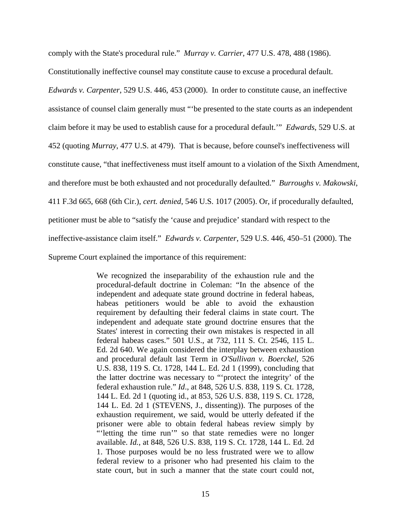comply with the State's procedural rule." *Murray v. Carrier*, 477 U.S. 478, 488 (1986).

Constitutionally ineffective counsel may constitute cause to excuse a procedural default.

*Edwards v. Carpenter*, 529 U.S. 446, 453 (2000). In order to constitute cause, an ineffective

assistance of counsel claim generally must "'be presented to the state courts as an independent

claim before it may be used to establish cause for a procedural default.'" *Edwards*, 529 U.S. at

452 (quoting *Murray*, 477 U.S. at 479). That is because, before counsel's ineffectiveness will

constitute cause, "that ineffectiveness must itself amount to a violation of the Sixth Amendment,

and therefore must be both exhausted and not procedurally defaulted." *Burroughs v. Makowski*,

411 F.3d 665, 668 (6th Cir.), *cert. denied*, 546 U.S. 1017 (2005). Or, if procedurally defaulted,

petitioner must be able to "satisfy the 'cause and prejudice' standard with respect to the

ineffective-assistance claim itself." *Edwards v. Carpenter*, 529 U.S. 446, 450–51 (2000). The

Supreme Court explained the importance of this requirement:

We recognized the inseparability of the exhaustion rule and the procedural-default doctrine in Coleman: "In the absence of the independent and adequate state ground doctrine in federal habeas, habeas petitioners would be able to avoid the exhaustion requirement by defaulting their federal claims in state court. The independent and adequate state ground doctrine ensures that the States' interest in correcting their own mistakes is respected in all federal habeas cases." 501 U.S., at 732, 111 S. Ct. 2546, 115 L. Ed. 2d 640. We again considered the interplay between exhaustion and procedural default last Term in *O'Sullivan v. Boerckel*, 526 U.S. 838, 119 S. Ct. 1728, 144 L. Ed. 2d 1 (1999), concluding that the latter doctrine was necessary to "'protect the integrity' of the federal exhaustion rule." *Id*., at 848, 526 U.S. 838, 119 S. Ct. 1728, 144 L. Ed. 2d 1 (quoting id., at 853, 526 U.S. 838, 119 S. Ct. 1728, 144 L. Ed. 2d 1 (STEVENS, J., dissenting)). The purposes of the exhaustion requirement, we said, would be utterly defeated if the prisoner were able to obtain federal habeas review simply by "'letting the time run'" so that state remedies were no longer available. *Id.*, at 848, 526 U.S. 838, 119 S. Ct. 1728, 144 L. Ed. 2d 1. Those purposes would be no less frustrated were we to allow federal review to a prisoner who had presented his claim to the state court, but in such a manner that the state court could not,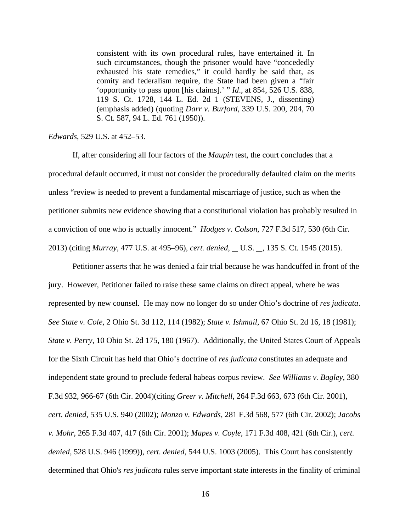consistent with its own procedural rules, have entertained it. In such circumstances, though the prisoner would have "concededly exhausted his state remedies," it could hardly be said that, as comity and federalism require, the State had been given a "fair 'opportunity to pass upon [his claims].' " *Id*., at 854, 526 U.S. 838, 119 S. Ct. 1728, 144 L. Ed. 2d 1 (STEVENS, J., dissenting) (emphasis added) (quoting *Darr v. Burford*, 339 U.S. 200, 204, 70 S. Ct. 587, 94 L. Ed. 761 (1950)).

## *Edwards*, 529 U.S. at 452–53.

If, after considering all four factors of the *Maupin* test, the court concludes that a procedural default occurred, it must not consider the procedurally defaulted claim on the merits unless "review is needed to prevent a fundamental miscarriage of justice, such as when the petitioner submits new evidence showing that a constitutional violation has probably resulted in a conviction of one who is actually innocent." *Hodges v. Colson*, 727 F.3d 517, 530 (6th Cir. 2013) (citing *Murray*, 477 U.S. at 495–96), *cert. denied*, U.S. , 135 S. Ct. 1545 (2015).

Petitioner asserts that he was denied a fair trial because he was handcuffed in front of the jury. However, Petitioner failed to raise these same claims on direct appeal, where he was represented by new counsel. He may now no longer do so under Ohio's doctrine of *res judicata*. *See State v. Cole*, 2 Ohio St. 3d 112, 114 (1982); *State v. Ishmail*, 67 Ohio St. 2d 16, 18 (1981); *State v. Perry*, 10 Ohio St. 2d 175, 180 (1967). Additionally, the United States Court of Appeals for the Sixth Circuit has held that Ohio's doctrine of *res judicata* constitutes an adequate and independent state ground to preclude federal habeas corpus review. *See Williams v. Bagley*, 380 F.3d 932, 966-67 (6th Cir. 2004)(citing *Greer v. Mitchell*, 264 F.3d 663, 673 (6th Cir. 2001), *cert. denied*, 535 U.S. 940 (2002); *Monzo v. Edwards*, 281 F.3d 568, 577 (6th Cir. 2002); *Jacobs v. Mohr*, 265 F.3d 407, 417 (6th Cir. 2001); *Mapes v. Coyle*, 171 F.3d 408, 421 (6th Cir.), *cert. denied*, 528 U.S. 946 (1999)), *cert. denied*, 544 U.S. 1003 (2005). This Court has consistently determined that Ohio's *res judicata* rules serve important state interests in the finality of criminal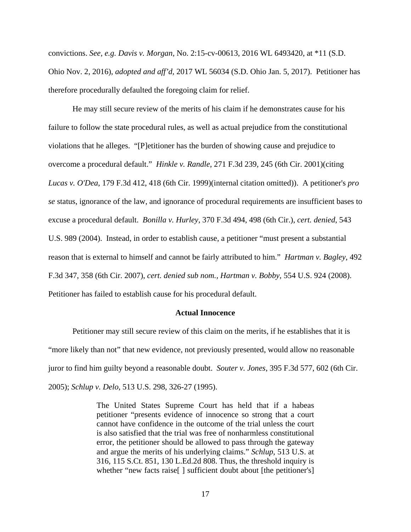convictions. *See, e.g. Davis v. Morgan*, No. 2:15-cv-00613, 2016 WL 6493420, at \*11 (S.D. Ohio Nov. 2, 2016), *adopted and aff'd*, 2017 WL 56034 (S.D. Ohio Jan. 5, 2017). Petitioner has therefore procedurally defaulted the foregoing claim for relief.

He may still secure review of the merits of his claim if he demonstrates cause for his failure to follow the state procedural rules, as well as actual prejudice from the constitutional violations that he alleges. "[P]etitioner has the burden of showing cause and prejudice to overcome a procedural default." *Hinkle v. Randle*, 271 F.3d 239, 245 (6th Cir. 2001)(citing *Lucas v. O'Dea*, 179 F.3d 412, 418 (6th Cir. 1999)(internal citation omitted)). A petitioner's *pro se* status, ignorance of the law, and ignorance of procedural requirements are insufficient bases to excuse a procedural default. *Bonilla v. Hurley*, 370 F.3d 494, 498 (6th Cir.), *cert. denied*, 543 U.S. 989 (2004). Instead, in order to establish cause, a petitioner "must present a substantial reason that is external to himself and cannot be fairly attributed to him." *Hartman v. Bagley*, 492 F.3d 347, 358 (6th Cir. 2007), *cert. denied sub nom., Hartman v. Bobby*, 554 U.S. 924 (2008). Petitioner has failed to establish cause for his procedural default.

#### **Actual Innocence**

Petitioner may still secure review of this claim on the merits, if he establishes that it is "more likely than not" that new evidence, not previously presented, would allow no reasonable juror to find him guilty beyond a reasonable doubt. *Souter v. Jones*, 395 F.3d 577, 602 (6th Cir. 2005); *Schlup v. Delo*, 513 U.S. 298, 326-27 (1995).

> The United States Supreme Court has held that if a habeas petitioner "presents evidence of innocence so strong that a court cannot have confidence in the outcome of the trial unless the court is also satisfied that the trial was free of nonharmless constitutional error, the petitioner should be allowed to pass through the gateway and argue the merits of his underlying claims." *Schlup*, 513 U.S. at 316, 115 S.Ct. 851, 130 L.Ed.2d 808. Thus, the threshold inquiry is whether "new facts raise<sup>[]</sup> sufficient doubt about [the petitioner's]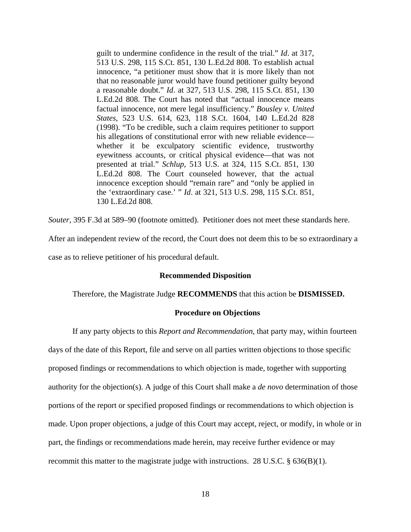guilt to undermine confidence in the result of the trial." *Id*. at 317, 513 U.S. 298, 115 S.Ct. 851, 130 L.Ed.2d 808. To establish actual innocence, "a petitioner must show that it is more likely than not that no reasonable juror would have found petitioner guilty beyond a reasonable doubt." *Id*. at 327, 513 U.S. 298, 115 S.Ct. 851, 130 L.Ed.2d 808. The Court has noted that "actual innocence means factual innocence, not mere legal insufficiency." *Bousley v. United States*, 523 U.S. 614, 623, 118 S.Ct. 1604, 140 L.Ed.2d 828 (1998). "To be credible, such a claim requires petitioner to support his allegations of constitutional error with new reliable evidence whether it be exculpatory scientific evidence, trustworthy eyewitness accounts, or critical physical evidence—that was not presented at trial." *Schlup,* 513 U.S. at 324, 115 S.Ct. 851, 130 L.Ed.2d 808. The Court counseled however, that the actual innocence exception should "remain rare" and "only be applied in the 'extraordinary case.' " *Id*. at 321, 513 U.S. 298, 115 S.Ct. 851, 130 L.Ed.2d 808.

*Souter*, 395 F.3d at 589–90 (footnote omitted). Petitioner does not meet these standards here. After an independent review of the record, the Court does not deem this to be so extraordinary a case as to relieve petitioner of his procedural default.

## **Recommended Disposition**

## Therefore, the Magistrate Judge **RECOMMENDS** that this action be **DISMISSED.**

### **Procedure on Objections**

If any party objects to this *Report and Recommendation*, that party may, within fourteen days of the date of this Report, file and serve on all parties written objections to those specific proposed findings or recommendations to which objection is made, together with supporting authority for the objection(s). A judge of this Court shall make a *de novo* determination of those portions of the report or specified proposed findings or recommendations to which objection is made. Upon proper objections, a judge of this Court may accept, reject, or modify, in whole or in part, the findings or recommendations made herein, may receive further evidence or may recommit this matter to the magistrate judge with instructions. 28 U.S.C.  $\S$  636(B)(1).